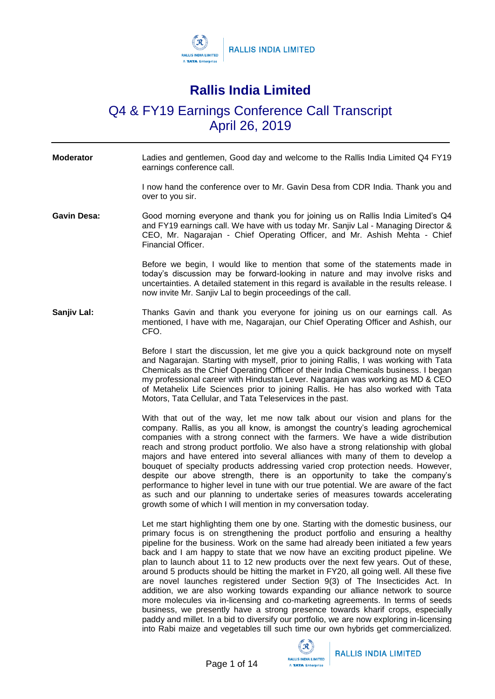

## **Rallis India Limited**

## Q4 & FY19 Earnings Conference Call Transcript April 26, 2019

**Moderator** Ladies and gentlemen, Good day and welcome to the Rallis India Limited Q4 FY19 earnings conference call.

> I now hand the conference over to Mr. Gavin Desa from CDR India. Thank you and over to you sir.

Gavin Desa: Good morning everyone and thank you for joining us on Rallis India Limited's Q4 and FY19 earnings call. We have with us today Mr. Sanjiv Lal - Managing Director & CEO, Mr. Nagarajan - Chief Operating Officer, and Mr. Ashish Mehta - Chief Financial Officer.

> Before we begin, I would like to mention that some of the statements made in today's discussion may be forward-looking in nature and may involve risks and uncertainties. A detailed statement in this regard is available in the results release. I now invite Mr. Sanjiv Lal to begin proceedings of the call.

**Sanjiv Lal:** Thanks Gavin and thank you everyone for joining us on our earnings call. As mentioned, I have with me, Nagarajan, our Chief Operating Officer and Ashish, our CFO.

> Before I start the discussion, let me give you a quick background note on myself and Nagarajan. Starting with myself, prior to joining Rallis, I was working with Tata Chemicals as the Chief Operating Officer of their India Chemicals business. I began my professional career with Hindustan Lever. Nagarajan was working as MD & CEO of Metahelix Life Sciences prior to joining Rallis. He has also worked with Tata Motors, Tata Cellular, and Tata Teleservices in the past.

> With that out of the way, let me now talk about our vision and plans for the company. Rallis, as you all know, is amongst the country's leading agrochemical companies with a strong connect with the farmers. We have a wide distribution reach and strong product portfolio. We also have a strong relationship with global majors and have entered into several alliances with many of them to develop a bouquet of specialty products addressing varied crop protection needs. However, despite our above strength, there is an opportunity to take the company's performance to higher level in tune with our true potential. We are aware of the fact as such and our planning to undertake series of measures towards accelerating growth some of which I will mention in my conversation today.

> Let me start highlighting them one by one. Starting with the domestic business, our primary focus is on strengthening the product portfolio and ensuring a healthy pipeline for the business. Work on the same had already been initiated a few years back and I am happy to state that we now have an exciting product pipeline. We plan to launch about 11 to 12 new products over the next few years. Out of these, around 5 products should be hitting the market in FY20, all going well. All these five are novel launches registered under Section 9(3) of The Insecticides Act. In addition, we are also working towards expanding our alliance network to source more molecules via in-licensing and co-marketing agreements. In terms of seeds business, we presently have a strong presence towards kharif crops, especially paddy and millet. In a bid to diversify our portfolio, we are now exploring in-licensing into Rabi maize and vegetables till such time our own hybrids get commercialized.

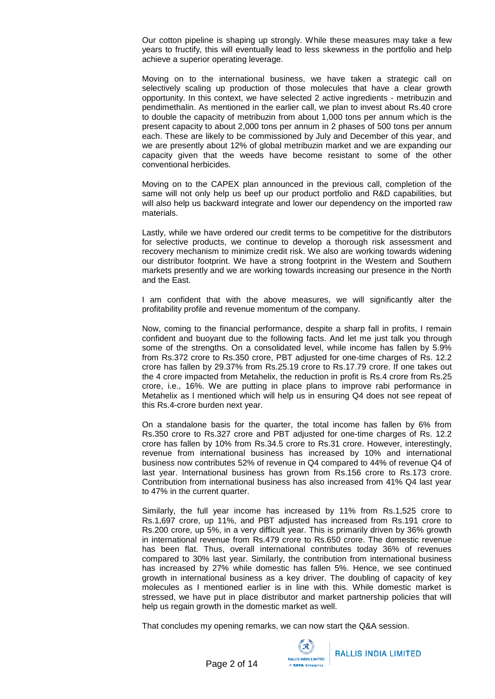Our cotton pipeline is shaping up strongly. While these measures may take a few years to fructify, this will eventually lead to less skewness in the portfolio and help achieve a superior operating leverage.

Moving on to the international business, we have taken a strategic call on selectively scaling up production of those molecules that have a clear growth opportunity. In this context, we have selected 2 active ingredients - metribuzin and pendimethalin. As mentioned in the earlier call, we plan to invest about Rs.40 crore to double the capacity of metribuzin from about 1,000 tons per annum which is the present capacity to about 2,000 tons per annum in 2 phases of 500 tons per annum each. These are likely to be commissioned by July and December of this year, and we are presently about 12% of global metribuzin market and we are expanding our capacity given that the weeds have become resistant to some of the other conventional herbicides.

Moving on to the CAPEX plan announced in the previous call, completion of the same will not only help us beef up our product portfolio and R&D capabilities, but will also help us backward integrate and lower our dependency on the imported raw materials.

Lastly, while we have ordered our credit terms to be competitive for the distributors for selective products, we continue to develop a thorough risk assessment and recovery mechanism to minimize credit risk. We also are working towards widening our distributor footprint. We have a strong footprint in the Western and Southern markets presently and we are working towards increasing our presence in the North and the East.

I am confident that with the above measures, we will significantly alter the profitability profile and revenue momentum of the company.

Now, coming to the financial performance, despite a sharp fall in profits, I remain confident and buoyant due to the following facts. And let me just talk you through some of the strengths. On a consolidated level, while income has fallen by 5.9% from Rs.372 crore to Rs.350 crore, PBT adjusted for one-time charges of Rs. 12.2 crore has fallen by 29.37% from Rs.25.19 crore to Rs.17.79 crore. If one takes out the 4 crore impacted from Metahelix, the reduction in profit is Rs.4 crore from Rs.25 crore, i.e., 16%. We are putting in place plans to improve rabi performance in Metahelix as I mentioned which will help us in ensuring Q4 does not see repeat of this Rs.4-crore burden next year.

On a standalone basis for the quarter, the total income has fallen by 6% from Rs.350 crore to Rs.327 crore and PBT adjusted for one-time charges of Rs. 12.2 crore has fallen by 10% from Rs.34.5 crore to Rs.31 crore. However, interestingly, revenue from international business has increased by 10% and international business now contributes 52% of revenue in Q4 compared to 44% of revenue Q4 of last year. International business has grown from Rs.156 crore to Rs.173 crore. Contribution from international business has also increased from 41% Q4 last year to 47% in the current quarter.

Similarly, the full year income has increased by 11% from Rs.1,525 crore to Rs.1,697 crore, up 11%, and PBT adjusted has increased from Rs.191 crore to Rs.200 crore, up 5%, in a very difficult year. This is primarily driven by 36% growth in international revenue from Rs.479 crore to Rs.650 crore. The domestic revenue has been flat. Thus, overall international contributes today 36% of revenues compared to 30% last year. Similarly, the contribution from international business has increased by 27% while domestic has fallen 5%. Hence, we see continued growth in international business as a key driver. The doubling of capacity of key molecules as I mentioned earlier is in line with this. While domestic market is stressed, we have put in place distributor and market partnership policies that will help us regain growth in the domestic market as well.

That concludes my opening remarks, we can now start the Q&A session.

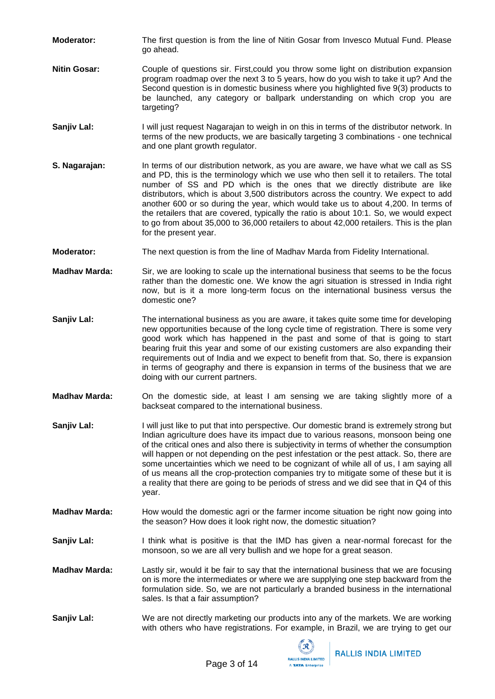- **Moderator:** The first question is from the line of Nitin Gosar from Invesco Mutual Fund. Please go ahead.
- **Nitin Gosar:** Couple of questions sir. First, could you throw some light on distribution expansion program roadmap over the next 3 to 5 years, how do you wish to take it up? And the Second question is in domestic business where you highlighted five 9(3) products to be launched, any category or ballpark understanding on which crop you are targeting?
- **Sanjiv Lal:** I will just request Nagarajan to weigh in on this in terms of the distributor network. In terms of the new products, we are basically targeting 3 combinations - one technical and one plant growth regulator.
- **S. Nagarajan:** In terms of our distribution network, as you are aware, we have what we call as SS and PD, this is the terminology which we use who then sell it to retailers. The total number of SS and PD which is the ones that we directly distribute are like distributors, which is about 3,500 distributors across the country. We expect to add another 600 or so during the year, which would take us to about 4,200. In terms of the retailers that are covered, typically the ratio is about 10:1. So, we would expect to go from about 35,000 to 36,000 retailers to about 42,000 retailers. This is the plan for the present year.
- **Moderator:** The next question is from the line of Madhav Marda from Fidelity International.
- **Madhav Marda:** Sir, we are looking to scale up the international business that seems to be the focus rather than the domestic one. We know the agri situation is stressed in India right now, but is it a more long-term focus on the international business versus the domestic one?
- **Sanjiv Lal:** The international business as you are aware, it takes quite some time for developing new opportunities because of the long cycle time of registration. There is some very good work which has happened in the past and some of that is going to start bearing fruit this year and some of our existing customers are also expanding their requirements out of India and we expect to benefit from that. So, there is expansion in terms of geography and there is expansion in terms of the business that we are doing with our current partners.
- **Madhav Marda:** On the domestic side, at least I am sensing we are taking slightly more of a backseat compared to the international business.
- **Sanjiv Lal:** I will just like to put that into perspective. Our domestic brand is extremely strong but Indian agriculture does have its impact due to various reasons, monsoon being one of the critical ones and also there is subjectivity in terms of whether the consumption will happen or not depending on the pest infestation or the pest attack. So, there are some uncertainties which we need to be cognizant of while all of us, I am saying all of us means all the crop-protection companies try to mitigate some of these but it is a reality that there are going to be periods of stress and we did see that in Q4 of this year.
- **Madhav Marda:** How would the domestic agri or the farmer income situation be right now going into the season? How does it look right now, the domestic situation?
- **Sanjiv Lal:** I think what is positive is that the IMD has given a near-normal forecast for the monsoon, so we are all very bullish and we hope for a great season.
- **Madhav Marda:** Lastly sir, would it be fair to say that the international business that we are focusing on is more the intermediates or where we are supplying one step backward from the formulation side. So, we are not particularly a branded business in the international sales. Is that a fair assumption?
- **Sanjiv Lal:** We are not directly marketing our products into any of the markets. We are working with others who have registrations. For example, in Brazil, we are trying to get our

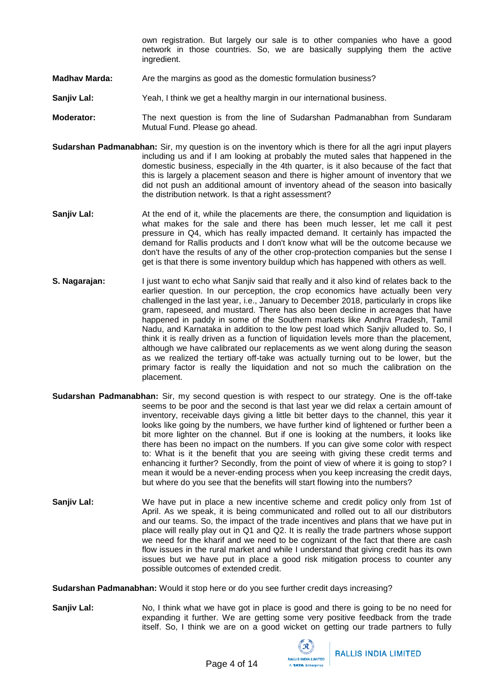own registration. But largely our sale is to other companies who have a good network in those countries. So, we are basically supplying them the active ingredient.

- **Madhav Marda:** Are the margins as good as the domestic formulation business?
- **Sanjiv Lal:** Yeah, I think we get a healthy margin in our international business.
- **Moderator:** The next question is from the line of Sudarshan Padmanabhan from Sundaram Mutual Fund. Please go ahead.
- **Sudarshan Padmanabhan:** Sir, my question is on the inventory which is there for all the agri input players including us and if I am looking at probably the muted sales that happened in the domestic business, especially in the 4th quarter, is it also because of the fact that this is largely a placement season and there is higher amount of inventory that we did not push an additional amount of inventory ahead of the season into basically the distribution network. Is that a right assessment?
- **Sanjiv Lal:** At the end of it, while the placements are there, the consumption and liquidation is what makes for the sale and there has been much lesser, let me call it pest pressure in Q4, which has really impacted demand. It certainly has impacted the demand for Rallis products and I don't know what will be the outcome because we don't have the results of any of the other crop-protection companies but the sense I get is that there is some inventory buildup which has happened with others as well.
- **S. Nagarajan:** I just want to echo what Sanjiv said that really and it also kind of relates back to the earlier question. In our perception, the crop economics have actually been very challenged in the last year, i.e., January to December 2018, particularly in crops like gram, rapeseed, and mustard. There has also been decline in acreages that have happened in paddy in some of the Southern markets like Andhra Pradesh, Tamil Nadu, and Karnataka in addition to the low pest load which Sanjiv alluded to. So, I think it is really driven as a function of liquidation levels more than the placement, although we have calibrated our replacements as we went along during the season as we realized the tertiary off-take was actually turning out to be lower, but the primary factor is really the liquidation and not so much the calibration on the placement.
- **Sudarshan Padmanabhan:** Sir, my second question is with respect to our strategy. One is the off-take seems to be poor and the second is that last year we did relax a certain amount of inventory, receivable days giving a little bit better days to the channel, this year it looks like going by the numbers, we have further kind of lightened or further been a bit more lighter on the channel. But if one is looking at the numbers, it looks like there has been no impact on the numbers. If you can give some color with respect to: What is it the benefit that you are seeing with giving these credit terms and enhancing it further? Secondly, from the point of view of where it is going to stop? I mean it would be a never-ending process when you keep increasing the credit days, but where do you see that the benefits will start flowing into the numbers?
- **Sanjiv Lal:** We have put in place a new incentive scheme and credit policy only from 1st of April. As we speak, it is being communicated and rolled out to all our distributors and our teams. So, the impact of the trade incentives and plans that we have put in place will really play out in Q1 and Q2. It is really the trade partners whose support we need for the kharif and we need to be cognizant of the fact that there are cash flow issues in the rural market and while I understand that giving credit has its own issues but we have put in place a good risk mitigation process to counter any possible outcomes of extended credit.

**Sudarshan Padmanabhan:** Would it stop here or do you see further credit days increasing?

**Sanjiv Lal:** No, I think what we have got in place is good and there is going to be no need for expanding it further. We are getting some very positive feedback from the trade itself. So, I think we are on a good wicket on getting our trade partners to fully

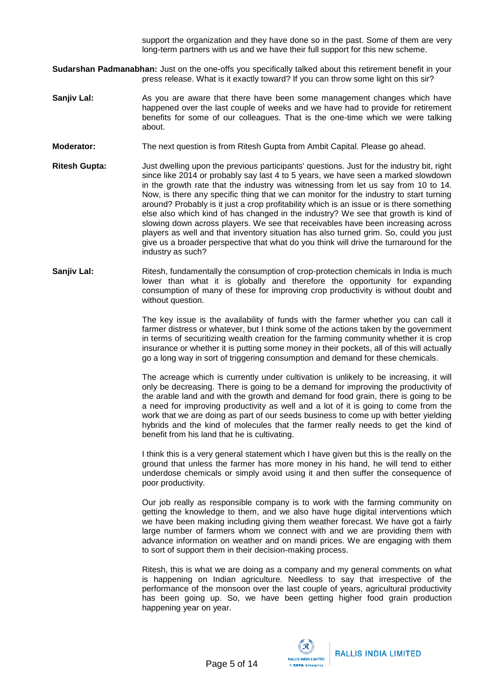support the organization and they have done so in the past. Some of them are very long-term partners with us and we have their full support for this new scheme.

- **Sudarshan Padmanabhan:** Just on the one-offs you specifically talked about this retirement benefit in your press release. What is it exactly toward? If you can throw some light on this sir?
- **Sanjiv Lal:** As you are aware that there have been some management changes which have happened over the last couple of weeks and we have had to provide for retirement benefits for some of our colleagues. That is the one-time which we were talking about.
- **Moderator:** The next question is from Ritesh Gupta from Ambit Capital. Please go ahead.
- **Ritesh Gupta:** Just dwelling upon the previous participants' questions. Just for the industry bit, right since like 2014 or probably say last 4 to 5 years, we have seen a marked slowdown in the growth rate that the industry was witnessing from let us say from 10 to 14. Now, is there any specific thing that we can monitor for the industry to start turning around? Probably is it just a crop profitability which is an issue or is there something else also which kind of has changed in the industry? We see that growth is kind of slowing down across players. We see that receivables have been increasing across players as well and that inventory situation has also turned grim. So, could you just give us a broader perspective that what do you think will drive the turnaround for the industry as such?
- **Sanjiv Lal:** Ritesh, fundamentally the consumption of crop-protection chemicals in India is much lower than what it is globally and therefore the opportunity for expanding consumption of many of these for improving crop productivity is without doubt and without question.

The key issue is the availability of funds with the farmer whether you can call it farmer distress or whatever, but I think some of the actions taken by the government in terms of securitizing wealth creation for the farming community whether it is crop insurance or whether it is putting some money in their pockets, all of this will actually go a long way in sort of triggering consumption and demand for these chemicals.

The acreage which is currently under cultivation is unlikely to be increasing, it will only be decreasing. There is going to be a demand for improving the productivity of the arable land and with the growth and demand for food grain, there is going to be a need for improving productivity as well and a lot of it is going to come from the work that we are doing as part of our seeds business to come up with better yielding hybrids and the kind of molecules that the farmer really needs to get the kind of benefit from his land that he is cultivating.

I think this is a very general statement which I have given but this is the really on the ground that unless the farmer has more money in his hand, he will tend to either underdose chemicals or simply avoid using it and then suffer the consequence of poor productivity.

Our job really as responsible company is to work with the farming community on getting the knowledge to them, and we also have huge digital interventions which we have been making including giving them weather forecast. We have got a fairly large number of farmers whom we connect with and we are providing them with advance information on weather and on mandi prices. We are engaging with them to sort of support them in their decision-making process.

Ritesh, this is what we are doing as a company and my general comments on what is happening on Indian agriculture. Needless to say that irrespective of the performance of the monsoon over the last couple of years, agricultural productivity has been going up. So, we have been getting higher food grain production happening year on year.

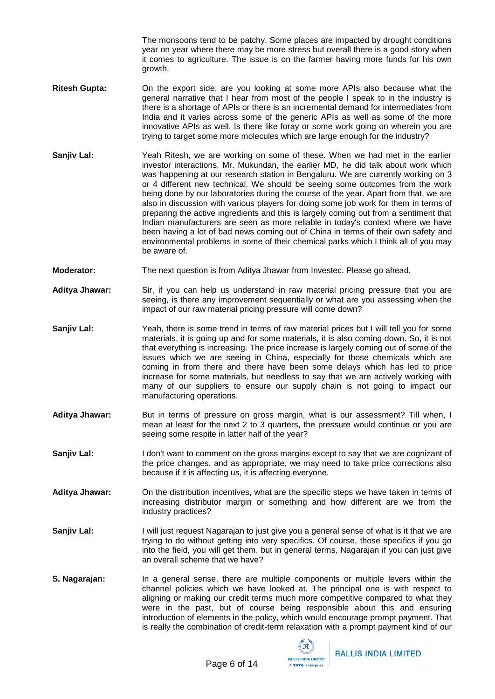The monsoons tend to be patchy. Some places are impacted by drought conditions year on year where there may be more stress but overall there is a good story when it comes to agriculture. The issue is on the farmer having more funds for his own growth.

- **Ritesh Gupta:** On the export side, are you looking at some more APIs also because what the general narrative that I hear from most of the people I speak to in the industry is there is a shortage of APIs or there is an incremental demand for intermediates from India and it varies across some of the generic APIs as well as some of the more innovative APIs as well. Is there like foray or some work going on wherein you are trying to target some more molecules which are large enough for the industry?
- **Sanjiv Lal:** Yeah Ritesh, we are working on some of these. When we had met in the earlier investor interactions, Mr. Mukundan, the earlier MD, he did talk about work which was happening at our research station in Bengaluru. We are currently working on 3 or 4 different new technical. We should be seeing some outcomes from the work being done by our laboratories during the course of the year. Apart from that, we are also in discussion with various players for doing some job work for them in terms of preparing the active ingredients and this is largely coming out from a sentiment that Indian manufacturers are seen as more reliable in today's context where we have been having a lot of bad news coming out of China in terms of their own safety and environmental problems in some of their chemical parks which I think all of you may be aware of.
- **Moderator:** The next question is from Aditya Jhawar from Investec. Please go ahead.
- **Aditya Jhawar:** Sir, if you can help us understand in raw material pricing pressure that you are seeing, is there any improvement sequentially or what are you assessing when the impact of our raw material pricing pressure will come down?
- **Sanjiv Lal:** Yeah, there is some trend in terms of raw material prices but I will tell you for some materials, it is going up and for some materials, it is also coming down. So, it is not that everything is increasing. The price increase is largely coming out of some of the issues which we are seeing in China, especially for those chemicals which are coming in from there and there have been some delays which has led to price increase for some materials, but needless to say that we are actively working with many of our suppliers to ensure our supply chain is not going to impact our manufacturing operations.
- Aditya Jhawar: But in terms of pressure on gross margin, what is our assessment? Till when, I mean at least for the next 2 to 3 quarters, the pressure would continue or you are seeing some respite in latter half of the year?
- **Sanjiv Lal:** I don't want to comment on the gross margins except to say that we are cognizant of the price changes, and as appropriate, we may need to take price corrections also because if it is affecting us, it is affecting everyone.
- **Aditya Jhawar:** On the distribution incentives, what are the specific steps we have taken in terms of increasing distributor margin or something and how different are we from the industry practices?
- **Sanjiv Lal:** I will just request Nagarajan to just give you a general sense of what is it that we are trying to do without getting into very specifics. Of course, those specifics if you go into the field, you will get them, but in general terms, Nagarajan if you can just give an overall scheme that we have?
- **S. Nagarajan:** In a general sense, there are multiple components or multiple levers within the channel policies which we have looked at. The principal one is with respect to aligning or making our credit terms much more competitive compared to what they were in the past, but of course being responsible about this and ensuring introduction of elements in the policy, which would encourage prompt payment. That is really the combination of credit-term relaxation with a prompt payment kind of our

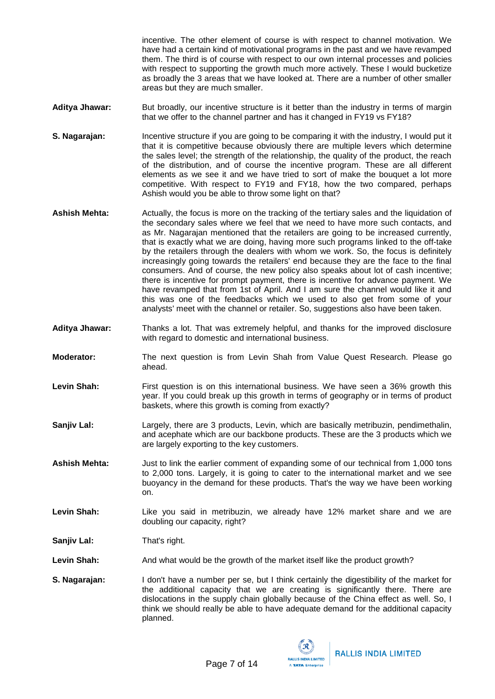incentive. The other element of course is with respect to channel motivation. We have had a certain kind of motivational programs in the past and we have revamped them. The third is of course with respect to our own internal processes and policies with respect to supporting the growth much more actively. These I would bucketize as broadly the 3 areas that we have looked at. There are a number of other smaller areas but they are much smaller.

- Aditya Jhawar: But broadly, our incentive structure is it better than the industry in terms of margin that we offer to the channel partner and has it changed in FY19 vs FY18?
- **S. Nagarajan:** Incentive structure if you are going to be comparing it with the industry, I would put it that it is competitive because obviously there are multiple levers which determine the sales level; the strength of the relationship, the quality of the product, the reach of the distribution, and of course the incentive program. These are all different elements as we see it and we have tried to sort of make the bouquet a lot more competitive. With respect to FY19 and FY18, how the two compared, perhaps Ashish would you be able to throw some light on that?
- **Ashish Mehta:** Actually, the focus is more on the tracking of the tertiary sales and the liquidation of the secondary sales where we feel that we need to have more such contacts, and as Mr. Nagarajan mentioned that the retailers are going to be increased currently, that is exactly what we are doing, having more such programs linked to the off-take by the retailers through the dealers with whom we work. So, the focus is definitely increasingly going towards the retailers' end because they are the face to the final consumers. And of course, the new policy also speaks about lot of cash incentive; there is incentive for prompt payment, there is incentive for advance payment. We have revamped that from 1st of April. And I am sure the channel would like it and this was one of the feedbacks which we used to also get from some of your analysts' meet with the channel or retailer. So, suggestions also have been taken.
- **Aditya Jhawar:** Thanks a lot. That was extremely helpful, and thanks for the improved disclosure with regard to domestic and international business.
- **Moderator:** The next question is from Levin Shah from Value Quest Research. Please go ahead.
- Levin Shah: First question is on this international business. We have seen a 36% growth this year. If you could break up this growth in terms of geography or in terms of product baskets, where this growth is coming from exactly?
- **Sanjiv Lal:** Largely, there are 3 products, Levin, which are basically metribuzin, pendimethalin, and acephate which are our backbone products. These are the 3 products which we are largely exporting to the key customers.
- **Ashish Mehta:** Just to link the earlier comment of expanding some of our technical from 1,000 tons to 2,000 tons. Largely, it is going to cater to the international market and we see buoyancy in the demand for these products. That's the way we have been working on.
- Levin Shah: Like you said in metribuzin, we already have 12% market share and we are doubling our capacity, right?

**Sanjiv Lal:** That's right.

Levin Shah: And what would be the growth of the market itself like the product growth?

**S. Nagarajan:** I don't have a number per se, but I think certainly the digestibility of the market for the additional capacity that we are creating is significantly there. There are dislocations in the supply chain globally because of the China effect as well. So, I think we should really be able to have adequate demand for the additional capacity planned.

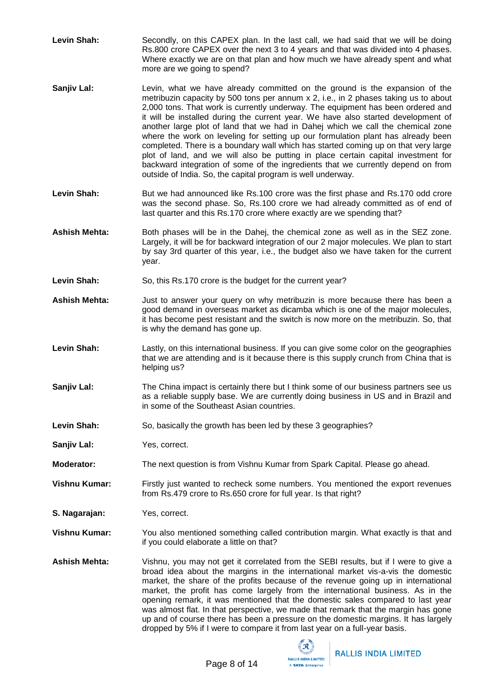- Levin Shah: Secondly, on this CAPEX plan. In the last call, we had said that we will be doing Rs.800 crore CAPEX over the next 3 to 4 years and that was divided into 4 phases. Where exactly we are on that plan and how much we have already spent and what more are we going to spend?
- **Sanjiv Lal:** Levin, what we have already committed on the ground is the expansion of the metribuzin capacity by 500 tons per annum x 2, i.e., in 2 phases taking us to about 2,000 tons. That work is currently underway. The equipment has been ordered and it will be installed during the current year. We have also started development of another large plot of land that we had in Dahej which we call the chemical zone where the work on leveling for setting up our formulation plant has already been completed. There is a boundary wall which has started coming up on that very large plot of land, and we will also be putting in place certain capital investment for backward integration of some of the ingredients that we currently depend on from outside of India. So, the capital program is well underway.
- Levin Shah: But we had announced like Rs.100 crore was the first phase and Rs.170 odd crore was the second phase. So, Rs.100 crore we had already committed as of end of last quarter and this Rs.170 crore where exactly are we spending that?
- **Ashish Mehta:** Both phases will be in the Dahej, the chemical zone as well as in the SEZ zone. Largely, it will be for backward integration of our 2 major molecules. We plan to start by say 3rd quarter of this year, i.e., the budget also we have taken for the current year.
- Levin Shah: So, this Rs.170 crore is the budget for the current year?
- **Ashish Mehta:** Just to answer your query on why metribuzin is more because there has been a good demand in overseas market as dicamba which is one of the major molecules, it has become pest resistant and the switch is now more on the metribuzin. So, that is why the demand has gone up.
- **Levin Shah:** Lastly, on this international business. If you can give some color on the geographies that we are attending and is it because there is this supply crunch from China that is helping us?
- **Sanjiv Lal:** The China impact is certainly there but I think some of our business partners see us as a reliable supply base. We are currently doing business in US and in Brazil and in some of the Southeast Asian countries.
- Levin Shah: So, basically the growth has been led by these 3 geographies?
- **Sanjiv Lal:** Yes, correct.
- **Moderator:** The next question is from Vishnu Kumar from Spark Capital. Please go ahead.

**Vishnu Kumar:** Firstly just wanted to recheck some numbers. You mentioned the export revenues from Rs.479 crore to Rs.650 crore for full year. Is that right?

- **S. Nagarajan:** Yes, correct.
- **Vishnu Kumar:** You also mentioned something called contribution margin. What exactly is that and if you could elaborate a little on that?
- **Ashish Mehta:** Vishnu, you may not get it correlated from the SEBI results, but if I were to give a broad idea about the margins in the international market vis-a-vis the domestic market, the share of the profits because of the revenue going up in international market, the profit has come largely from the international business. As in the opening remark, it was mentioned that the domestic sales compared to last year was almost flat. In that perspective, we made that remark that the margin has gone up and of course there has been a pressure on the domestic margins. It has largely dropped by 5% if I were to compare it from last year on a full-year basis.

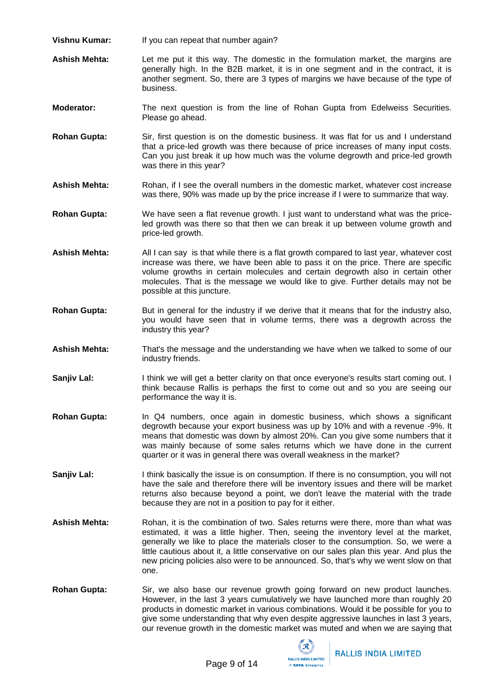- **Vishnu Kumar:** If you can repeat that number again?
- **Ashish Mehta:** Let me put it this way. The domestic in the formulation market, the margins are generally high. In the B2B market, it is in one segment and in the contract, it is another segment. So, there are 3 types of margins we have because of the type of business.
- **Moderator:** The next question is from the line of Rohan Gupta from Edelweiss Securities. Please go ahead.
- **Rohan Gupta:** Sir, first question is on the domestic business. It was flat for us and I understand that a price-led growth was there because of price increases of many input costs. Can you just break it up how much was the volume degrowth and price-led growth was there in this year?
- **Ashish Mehta:** Rohan, if I see the overall numbers in the domestic market, whatever cost increase was there, 90% was made up by the price increase if I were to summarize that way.
- **Rohan Gupta:** We have seen a flat revenue growth. I just want to understand what was the priceled growth was there so that then we can break it up between volume growth and price-led growth.
- **Ashish Mehta:** All I can say is that while there is a flat growth compared to last year, whatever cost increase was there, we have been able to pass it on the price. There are specific volume growths in certain molecules and certain degrowth also in certain other molecules. That is the message we would like to give. Further details may not be possible at this juncture.
- **Rohan Gupta:** But in general for the industry if we derive that it means that for the industry also, you would have seen that in volume terms, there was a degrowth across the industry this year?
- **Ashish Mehta:** That's the message and the understanding we have when we talked to some of our industry friends.
- **Sanjiv Lal:** I think we will get a better clarity on that once everyone's results start coming out. I think because Rallis is perhaps the first to come out and so you are seeing our performance the way it is.
- **Rohan Gupta:** In Q4 numbers, once again in domestic business, which shows a significant degrowth because your export business was up by 10% and with a revenue -9%. It means that domestic was down by almost 20%. Can you give some numbers that it was mainly because of some sales returns which we have done in the current quarter or it was in general there was overall weakness in the market?
- **Sanjiv Lal:** I think basically the issue is on consumption. If there is no consumption, you will not have the sale and therefore there will be inventory issues and there will be market returns also because beyond a point, we don't leave the material with the trade because they are not in a position to pay for it either.
- Ashish Mehta: Rohan, it is the combination of two. Sales returns were there, more than what was estimated, it was a little higher. Then, seeing the inventory level at the market, generally we like to place the materials closer to the consumption. So, we were a little cautious about it, a little conservative on our sales plan this year. And plus the new pricing policies also were to be announced. So, that's why we went slow on that one.
- **Rohan Gupta:** Sir, we also base our revenue growth going forward on new product launches. However, in the last 3 years cumulatively we have launched more than roughly 20 products in domestic market in various combinations. Would it be possible for you to give some understanding that why even despite aggressive launches in last 3 years, our revenue growth in the domestic market was muted and when we are saying that

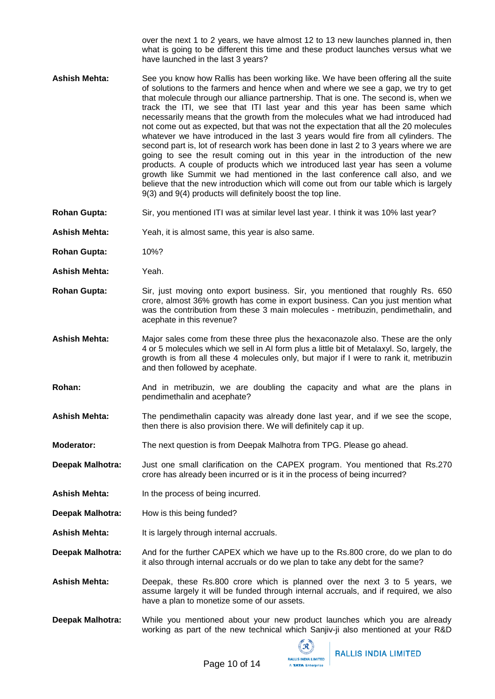over the next 1 to 2 years, we have almost 12 to 13 new launches planned in, then what is going to be different this time and these product launches versus what we have launched in the last 3 years?

- **Ashish Mehta:** See you know how Rallis has been working like. We have been offering all the suite of solutions to the farmers and hence when and where we see a gap, we try to get that molecule through our alliance partnership. That is one. The second is, when we track the ITI, we see that ITI last year and this year has been same which necessarily means that the growth from the molecules what we had introduced had not come out as expected, but that was not the expectation that all the 20 molecules whatever we have introduced in the last 3 years would fire from all cylinders. The second part is, lot of research work has been done in last 2 to 3 years where we are going to see the result coming out in this year in the introduction of the new products. A couple of products which we introduced last year has seen a volume growth like Summit we had mentioned in the last conference call also, and we believe that the new introduction which will come out from our table which is largely 9(3) and 9(4) products will definitely boost the top line.
- **Rohan Gupta:** Sir, you mentioned ITI was at similar level last year. I think it was 10% last year?
- **Ashish Mehta:** Yeah, it is almost same, this year is also same.
- **Rohan Gupta:** 10%?
- **Ashish Mehta:** Yeah.
- **Rohan Gupta:** Sir, just moving onto export business. Sir, you mentioned that roughly Rs. 650 crore, almost 36% growth has come in export business. Can you just mention what was the contribution from these 3 main molecules - metribuzin, pendimethalin, and acephate in this revenue?
- **Ashish Mehta:** Major sales come from these three plus the hexaconazole also. These are the only 4 or 5 molecules which we sell in AI form plus a little bit of Metalaxyl. So, largely, the growth is from all these 4 molecules only, but major if I were to rank it, metribuzin and then followed by acephate.
- **Rohan:** And in metribuzin, we are doubling the capacity and what are the plans in pendimethalin and acephate?
- **Ashish Mehta:** The pendimethalin capacity was already done last year, and if we see the scope, then there is also provision there. We will definitely cap it up.
- **Moderator:** The next question is from Deepak Malhotra from TPG. Please go ahead.
- **Deepak Malhotra:** Just one small clarification on the CAPEX program. You mentioned that Rs.270 crore has already been incurred or is it in the process of being incurred?
- **Ashish Mehta:** In the process of being incurred.
- **Deepak Malhotra:** How is this being funded?
- Ashish Mehta: It is largely through internal accruals.
- **Deepak Malhotra:** And for the further CAPEX which we have up to the Rs.800 crore, do we plan to do it also through internal accruals or do we plan to take any debt for the same?
- **Ashish Mehta:** Deepak, these Rs.800 crore which is planned over the next 3 to 5 years, we assume largely it will be funded through internal accruals, and if required, we also have a plan to monetize some of our assets.
- **Deepak Malhotra:** While you mentioned about your new product launches which you are already working as part of the new technical which Sanjiv-ji also mentioned at your R&D

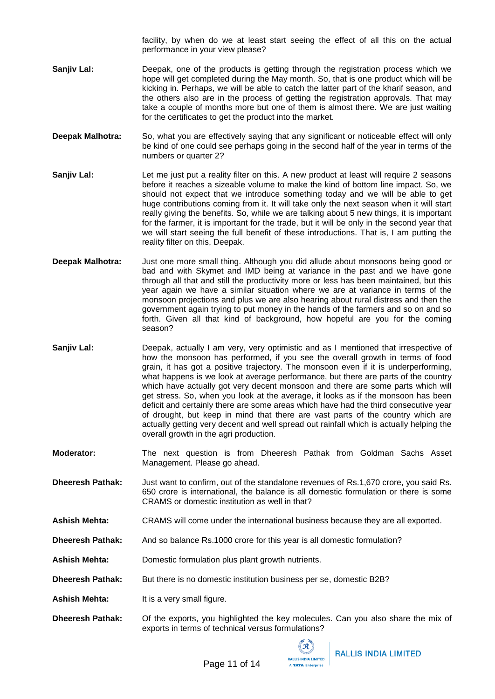facility, by when do we at least start seeing the effect of all this on the actual performance in your view please?

- **Sanjiv Lal:** Deepak, one of the products is getting through the registration process which we hope will get completed during the May month. So, that is one product which will be kicking in. Perhaps, we will be able to catch the latter part of the kharif season, and the others also are in the process of getting the registration approvals. That may take a couple of months more but one of them is almost there. We are just waiting for the certificates to get the product into the market.
- **Deepak Malhotra:** So, what you are effectively saying that any significant or noticeable effect will only be kind of one could see perhaps going in the second half of the year in terms of the numbers or quarter 2?
- **Sanjiv Lal:** Let me just put a reality filter on this. A new product at least will require 2 seasons before it reaches a sizeable volume to make the kind of bottom line impact. So, we should not expect that we introduce something today and we will be able to get huge contributions coming from it. It will take only the next season when it will start really giving the benefits. So, while we are talking about 5 new things, it is important for the farmer, it is important for the trade, but it will be only in the second year that we will start seeing the full benefit of these introductions. That is, I am putting the reality filter on this, Deepak.
- **Deepak Malhotra:** Just one more small thing. Although you did allude about monsoons being good or bad and with Skymet and IMD being at variance in the past and we have gone through all that and still the productivity more or less has been maintained, but this year again we have a similar situation where we are at variance in terms of the monsoon projections and plus we are also hearing about rural distress and then the government again trying to put money in the hands of the farmers and so on and so forth. Given all that kind of background, how hopeful are you for the coming season?
- **Sanjiv Lal:** Deepak, actually I am very, very optimistic and as I mentioned that irrespective of how the monsoon has performed, if you see the overall growth in terms of food grain, it has got a positive trajectory. The monsoon even if it is underperforming, what happens is we look at average performance, but there are parts of the country which have actually got very decent monsoon and there are some parts which will get stress. So, when you look at the average, it looks as if the monsoon has been deficit and certainly there are some areas which have had the third consecutive year of drought, but keep in mind that there are vast parts of the country which are actually getting very decent and well spread out rainfall which is actually helping the overall growth in the agri production.
- **Moderator:** The next question is from Dheeresh Pathak from Goldman Sachs Asset Management. Please go ahead.
- **Dheeresh Pathak:** Just want to confirm, out of the standalone revenues of Rs.1,670 crore, you said Rs. 650 crore is international, the balance is all domestic formulation or there is some CRAMS or domestic institution as well in that?
- **Ashish Mehta:** CRAMS will come under the international business because they are all exported.
- **Dheeresh Pathak:** And so balance Rs.1000 crore for this year is all domestic formulation?
- **Ashish Mehta:** Domestic formulation plus plant growth nutrients.
- **Dheeresh Pathak:** But there is no domestic institution business per se, domestic B2B?
- Ashish Mehta: It is a very small figure.
- **Dheeresh Pathak:** Of the exports, you highlighted the key molecules. Can you also share the mix of exports in terms of technical versus formulations?

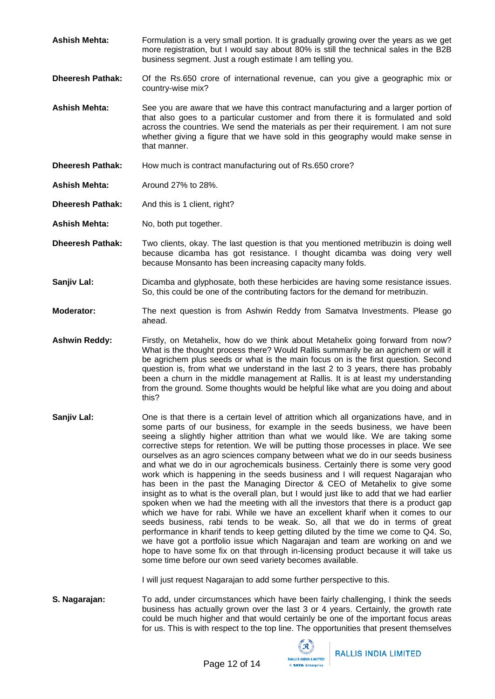- **Ashish Mehta:** Formulation is a very small portion. It is gradually growing over the years as we get more registration, but I would say about 80% is still the technical sales in the B2B business segment. Just a rough estimate I am telling you.
- **Dheeresh Pathak:** Of the Rs.650 crore of international revenue, can you give a geographic mix or country-wise mix?
- **Ashish Mehta:** See you are aware that we have this contract manufacturing and a larger portion of that also goes to a particular customer and from there it is formulated and sold across the countries. We send the materials as per their requirement. I am not sure whether giving a figure that we have sold in this geography would make sense in that manner.
- **Dheeresh Pathak:** How much is contract manufacturing out of Rs.650 crore?
- **Ashish Mehta:** Around 27% to 28%.
- **Dheeresh Pathak:** And this is 1 client, right?
- **Ashish Mehta:** No, both put together.
- **Dheeresh Pathak:** Two clients, okay. The last question is that you mentioned metribuzin is doing well because dicamba has got resistance. I thought dicamba was doing very well because Monsanto has been increasing capacity many folds.
- **Sanjiv Lal:** Dicamba and glyphosate, both these herbicides are having some resistance issues. So, this could be one of the contributing factors for the demand for metribuzin.
- **Moderator:** The next question is from Ashwin Reddy from Samatva Investments. Please go ahead.
- Ashwin Reddy: Firstly, on Metahelix, how do we think about Metahelix going forward from now? What is the thought process there? Would Rallis summarily be an agrichem or will it be agrichem plus seeds or what is the main focus on is the first question. Second question is, from what we understand in the last 2 to 3 years, there has probably been a churn in the middle management at Rallis. It is at least my understanding from the ground. Some thoughts would be helpful like what are you doing and about this?
- **Sanjiv Lal:** One is that there is a certain level of attrition which all organizations have, and in some parts of our business, for example in the seeds business, we have been seeing a slightly higher attrition than what we would like. We are taking some corrective steps for retention. We will be putting those processes in place. We see ourselves as an agro sciences company between what we do in our seeds business and what we do in our agrochemicals business. Certainly there is some very good work which is happening in the seeds business and I will request Nagarajan who has been in the past the Managing Director & CEO of Metahelix to give some insight as to what is the overall plan, but I would just like to add that we had earlier spoken when we had the meeting with all the investors that there is a product gap which we have for rabi. While we have an excellent kharif when it comes to our seeds business, rabi tends to be weak. So, all that we do in terms of great performance in kharif tends to keep getting diluted by the time we come to Q4. So, we have got a portfolio issue which Nagarajan and team are working on and we hope to have some fix on that through in-licensing product because it will take us some time before our own seed variety becomes available.

I will just request Nagarajan to add some further perspective to this.

**S. Nagarajan:** To add, under circumstances which have been fairly challenging, I think the seeds business has actually grown over the last 3 or 4 years. Certainly, the growth rate could be much higher and that would certainly be one of the important focus areas for us. This is with respect to the top line. The opportunities that present themselves

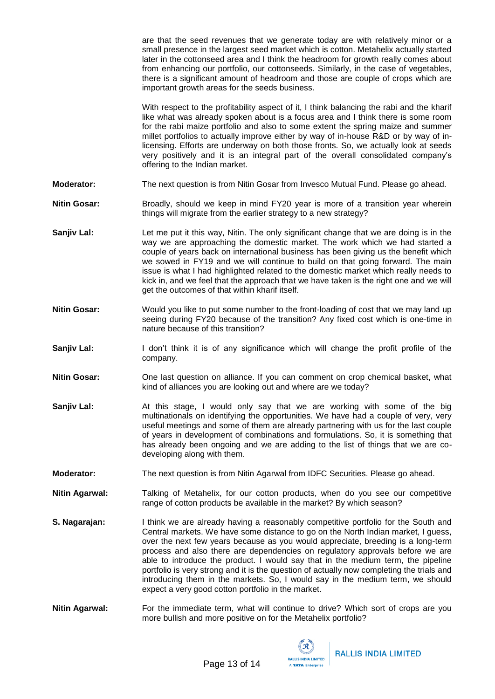are that the seed revenues that we generate today are with relatively minor or a small presence in the largest seed market which is cotton. Metahelix actually started later in the cottonseed area and I think the headroom for growth really comes about from enhancing our portfolio, our cottonseeds. Similarly, in the case of vegetables, there is a significant amount of headroom and those are couple of crops which are important growth areas for the seeds business.

With respect to the profitability aspect of it, I think balancing the rabi and the kharif like what was already spoken about is a focus area and I think there is some room for the rabi maize portfolio and also to some extent the spring maize and summer millet portfolios to actually improve either by way of in-house R&D or by way of inlicensing. Efforts are underway on both those fronts. So, we actually look at seeds very positively and it is an integral part of the overall consolidated company's offering to the Indian market.

- **Moderator:** The next question is from Nitin Gosar from Invesco Mutual Fund. Please go ahead.
- Nitin Gosar: Broadly, should we keep in mind FY20 year is more of a transition year wherein things will migrate from the earlier strategy to a new strategy?
- **Sanjiv Lal:** Let me put it this way, Nitin. The only significant change that we are doing is in the way we are approaching the domestic market. The work which we had started a couple of years back on international business has been giving us the benefit which we sowed in FY19 and we will continue to build on that going forward. The main issue is what I had highlighted related to the domestic market which really needs to kick in, and we feel that the approach that we have taken is the right one and we will get the outcomes of that within kharif itself.
- **Nitin Gosar:** Would you like to put some number to the front-loading of cost that we may land up seeing during FY20 because of the transition? Any fixed cost which is one-time in nature because of this transition?
- **Sanjiv Lal:** I don't think it is of any significance which will change the profit profile of the company.
- **Nitin Gosar:** One last question on alliance. If you can comment on crop chemical basket, what kind of alliances you are looking out and where are we today?
- **Sanjiv Lal:** At this stage, I would only say that we are working with some of the big multinationals on identifying the opportunities. We have had a couple of very, very useful meetings and some of them are already partnering with us for the last couple of years in development of combinations and formulations. So, it is something that has already been ongoing and we are adding to the list of things that we are codeveloping along with them.
- **Moderator:** The next question is from Nitin Agarwal from IDFC Securities. Please go ahead.
- **Nitin Agarwal:** Talking of Metahelix, for our cotton products, when do you see our competitive range of cotton products be available in the market? By which season?
- **S. Nagarajan:** I think we are already having a reasonably competitive portfolio for the South and Central markets. We have some distance to go on the North Indian market, I guess, over the next few years because as you would appreciate, breeding is a long-term process and also there are dependencies on regulatory approvals before we are able to introduce the product. I would say that in the medium term, the pipeline portfolio is very strong and it is the question of actually now completing the trials and introducing them in the markets. So, I would say in the medium term, we should expect a very good cotton portfolio in the market.
- **Nitin Agarwal:** For the immediate term, what will continue to drive? Which sort of crops are you more bullish and more positive on for the Metahelix portfolio?